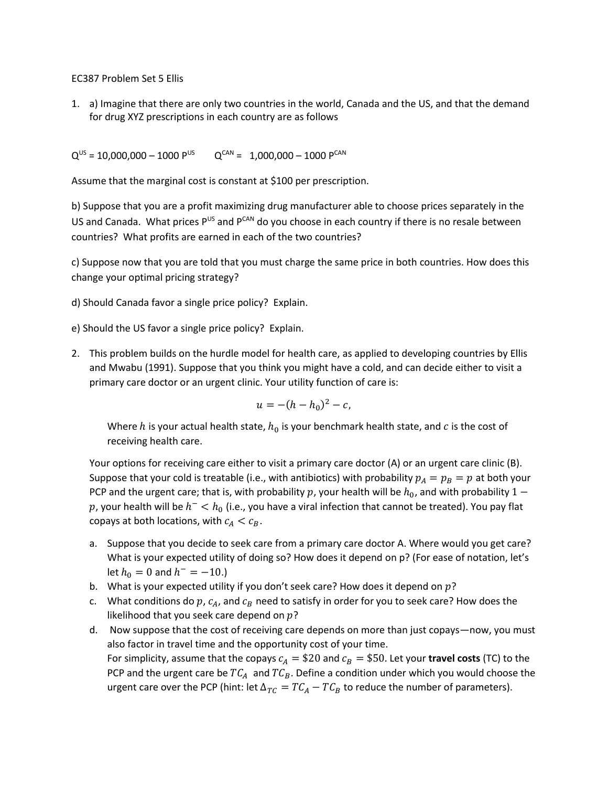EC387 Problem Set 5 Ellis

1. a) Imagine that there are only two countries in the world, Canada and the US, and that the demand for drug XYZ prescriptions in each country are as follows

 $Q^{US}$  = 10,000,000 – 1000 P<sup>US</sup>  $Q^{CAN}$  = 1,000,000 – 1000 P<sup>CAN</sup>

Assume that the marginal cost is constant at \$100 per prescription.

b) Suppose that you are a profit maximizing drug manufacturer able to choose prices separately in the US and Canada. What prices PUS and PCAN do you choose in each country if there is no resale between countries? What profits are earned in each of the two countries?

c) Suppose now that you are told that you must charge the same price in both countries. How does this change your optimal pricing strategy?

d) Should Canada favor a single price policy? Explain.

e) Should the US favor a single price policy? Explain.

2. This problem builds on the hurdle model for health care, as applied to developing countries by Ellis and Mwabu (1991). Suppose that you think you might have a cold, and can decide either to visit a primary care doctor or an urgent clinic. Your utility function of care is:

$$
u = -(h - h_0)^2 - c,
$$

Where h is your actual health state,  $h_0$  is your benchmark health state, and c is the cost of receiving health care.

Your options for receiving care either to visit a primary care doctor (A) or an urgent care clinic (B). Suppose that your cold is treatable (i.e., with antibiotics) with probability  $p_A = p_B = p$  at both your PCP and the urgent care; that is, with probability p, your health will be  $h_0$ , and with probability 1 –  $p$ , your health will be  $h^{-} < h_{0}$  (i.e., you have a viral infection that cannot be treated). You pay flat copays at both locations, with  $c_A < c_B$ .

- a. Suppose that you decide to seek care from a primary care doctor A. Where would you get care? What is your expected utility of doing so? How does it depend on p? (For ease of notation, let's let  $h_0 = 0$  and  $h^- = -10$ .)
- b. What is your expected utility if you don't seek care? How does it depend on  $p$ ?
- c. What conditions do  $p$ ,  $c_A$ , and  $c_B$  need to satisfy in order for you to seek care? How does the likelihood that you seek care depend on  $p$ ?
- d. Now suppose that the cost of receiving care depends on more than just copays—now, you must also factor in travel time and the opportunity cost of your time. For simplicity, assume that the copays  $c_A = $20$  and  $c_B = $50$ . Let your **travel costs** (TC) to the PCP and the urgent care be  $TC_A$  and  $TC_B$ . Define a condition under which you would choose the urgent care over the PCP (hint: let  $\Delta_{TC} = TC_A - TC_B$  to reduce the number of parameters).